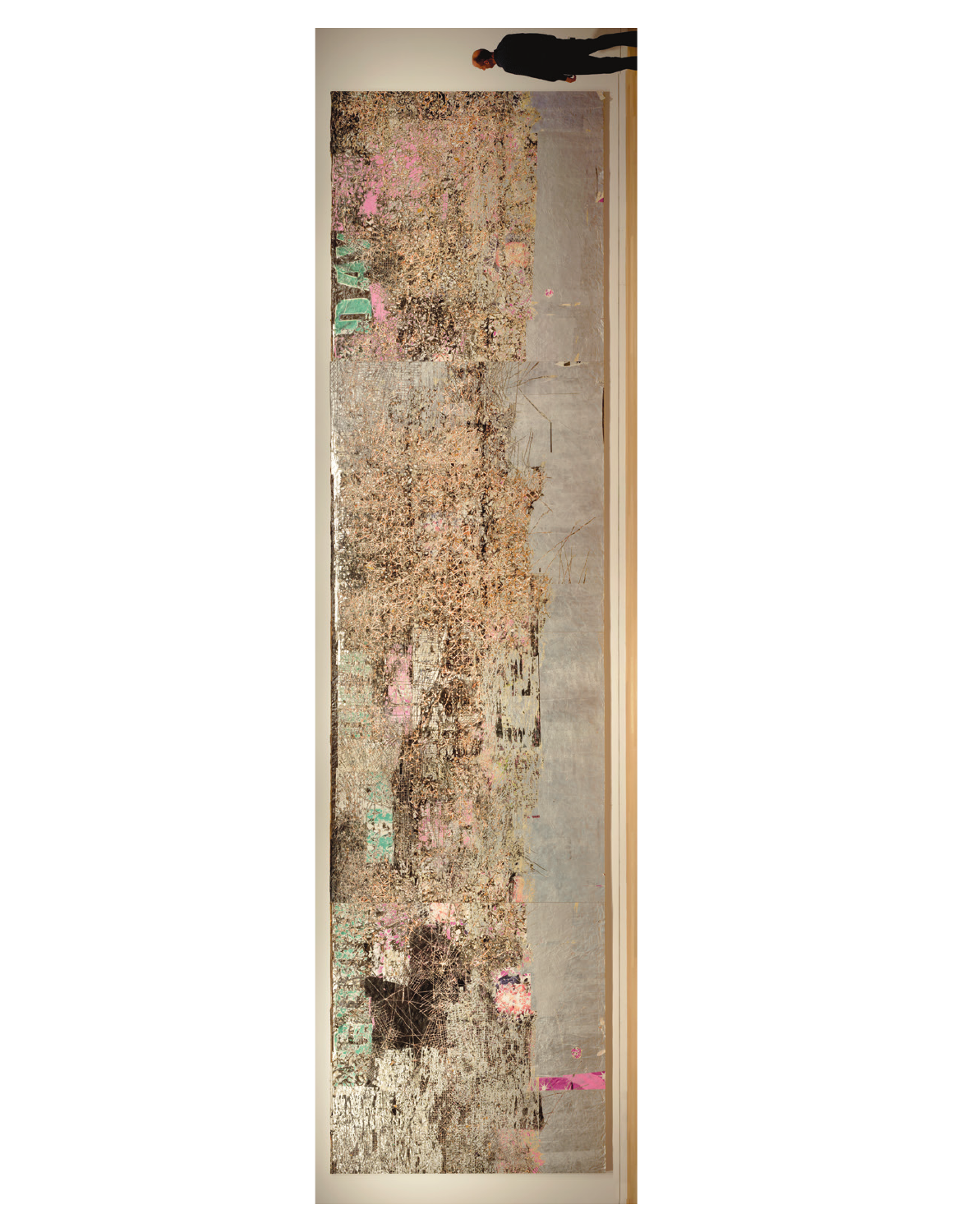